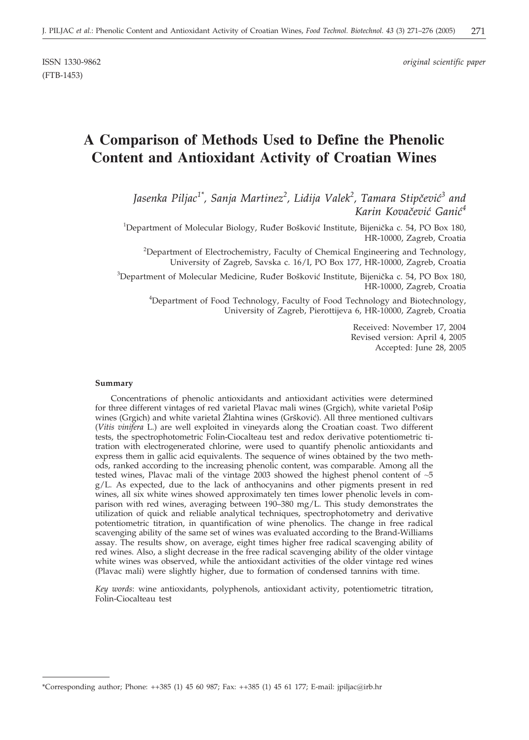(FTB-1453)

ISSN 1330-9862 *original scientific paper*

# **A Comparison of Methods Used to Define the Phenolic Content and Antioxidant Activity of Croatian Wines**

Jasenka Piljac<sup>1\*</sup>, Sanja Martinez<sup>2</sup>, Lidija Valek<sup>2</sup>, Tamara Stipčević<sup>3</sup> and *Karin Kova~evi} Gani}<sup>4</sup>*

<sup>1</sup>Department of Molecular Biology, Ruđer Bošković Institute, Bijenička c. 54, PO Box 180, HR-10000, Zagreb, Croatia

<sup>2</sup>Department of Electrochemistry, Faculty of Chemical Engineering and Technology, University of Zagreb, Savska c. 16/I, PO Box 177, HR-10000, Zagreb, Croatia

 ${}^{3}$ Department of Molecular Medicine, Ruđer Bošković Institute, Bijenička c. 54, PO Box 180, HR-10000, Zagreb, Croatia

<sup>4</sup>Department of Food Technology, Faculty of Food Technology and Biotechnology, University of Zagreb, Pierottijeva 6, HR-10000, Zagreb, Croatia

> Received: November 17, 2004 Revised version: April 4, 2005 Accepted: June 28, 2005

#### **Summary**

Concentrations of phenolic antioxidants and antioxidant activities were determined for three different vintages of red varietal Plavac mali wines (Grgich), white varietal Pošip wines (Grgich) and white varietal Žlahtina wines (Gršković). All three mentioned cultivars (*Vitis vinifera* L.) are well exploited in vineyards along the Croatian coast. Two different tests, the spectrophotometric Folin-Ciocalteau test and redox derivative potentiometric titration with electrogenerated chlorine, were used to quantify phenolic antioxidants and express them in gallic acid equivalents. The sequence of wines obtained by the two methods, ranked according to the increasing phenolic content, was comparable. Among all the tested wines, Plavac mali of the vintage 2003 showed the highest phenol content of ~5 g/L. As expected, due to the lack of anthocyanins and other pigments present in red wines, all six white wines showed approximately ten times lower phenolic levels in comparison with red wines, averaging between 190–380 mg/L. This study demonstrates the utilization of quick and reliable analytical techniques, spectrophotometry and derivative potentiometric titration, in quantification of wine phenolics. The change in free radical scavenging ability of the same set of wines was evaluated according to the Brand-Williams assay. The results show, on average, eight times higher free radical scavenging ability of red wines. Also, a slight decrease in the free radical scavenging ability of the older vintage white wines was observed, while the antioxidant activities of the older vintage red wines (Plavac mali) were slightly higher, due to formation of condensed tannins with time.

*Key words*: wine antioxidants, polyphenols, antioxidant activity, potentiometric titration, Folin-Ciocalteau test

<sup>\*</sup>Corresponding author; Phone: ++385 (1) 45 60 987; Fax: ++385 (1) 45 61 177; E-mail: jpiljac*@*irb.hr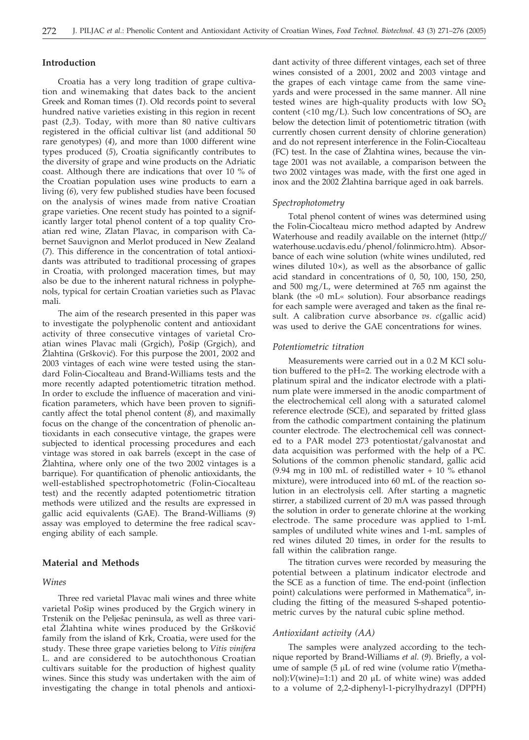# **Introduction**

Croatia has a very long tradition of grape cultivation and winemaking that dates back to the ancient Greek and Roman times (*1*). Old records point to several hundred native varieties existing in this region in recent past (*2,3*). Today, with more than 80 native cultivars registered in the official cultivar list (and additional 50 rare genotypes) (*4*), and more than 1000 different wine types produced (*5*), Croatia significantly contributes to the diversity of grape and wine products on the Adriatic coast. Although there are indications that over 10 % of the Croatian population uses wine products to earn a living (*6*), very few published studies have been focused on the analysis of wines made from native Croatian grape varieties. One recent study has pointed to a significantly larger total phenol content of a top quality Croatian red wine, Zlatan Plavac, in comparison with Cabernet Sauvignon and Merlot produced in New Zealand (*7*). This difference in the concentration of total antioxidants was attributed to traditional processing of grapes in Croatia, with prolonged maceration times, but may also be due to the inherent natural richness in polyphenols, typical for certain Croatian varieties such as Plavac mali.

The aim of the research presented in this paper was to investigate the polyphenolic content and antioxidant activity of three consecutive vintages of varietal Croatian wines Plavac mali (Grgich), Pošip (Grgich), and Žlahtina (Gršković). For this purpose the 2001, 2002 and 2003 vintages of each wine were tested using the standard Folin-Ciocalteau and Brand-Williams tests and the more recently adapted potentiometric titration method. In order to exclude the influence of maceration and vinification parameters, which have been proven to significantly affect the total phenol content (*8*), and maximally focus on the change of the concentration of phenolic antioxidants in each consecutive vintage, the grapes were subjected to identical processing procedures and each vintage was stored in oak barrels (except in the case of  $\check{Z}$ lahtina, where only one of the two 2002 vintages is a barrique). For quantification of phenolic antioxidants, the well-established spectrophotometric (Folin-Ciocalteau test) and the recently adapted potentiometric titration methods were utilized and the results are expressed in gallic acid equivalents (GAE). The Brand-Williams (*9*) assay was employed to determine the free radical scavenging ability of each sample.

# **Material and Methods**

# *Wines*

Three red varietal Plavac mali wines and three white varietal Pošip wines produced by the Grgich winery in Trstenik on the Pelješac peninsula, as well as three varietal Žlahtina white wines produced by the Gršković family from the island of Krk, Croatia, were used for the study. These three grape varieties belong to *Vitis vinifera* L. and are considered to be autochthonous Croatian cultivars suitable for the production of highest quality wines. Since this study was undertaken with the aim of investigating the change in total phenols and antioxidant activity of three different vintages, each set of three wines consisted of a 2001, 2002 and 2003 vintage and the grapes of each vintage came from the same vineyards and were processed in the same manner. All nine tested wines are high-quality products with low  $SO<sub>2</sub>$ content (<10 mg/L). Such low concentrations of  $SO<sub>2</sub>$  are below the detection limit of potentiometric titration (with currently chosen current density of chlorine generation) and do not represent interference in the Folin-Ciocalteau  $(FC)$  test. In the case of  $Z$ lahtina wines, because the vintage 2001 was not available, a comparison between the two 2002 vintages was made, with the first one aged in inox and the 2002 Žlahtina barrique aged in oak barrels.

### *Spectrophotometry*

Total phenol content of wines was determined using the Folin-Ciocalteau micro method adapted by Andrew Waterhouse and readily available on the internet (http:*//* waterhouse.ucdavis.edu/phenol/folinmicro.htm). Absorbance of each wine solution (white wines undiluted, red wines diluted  $10\times$ ), as well as the absorbance of gallic acid standard in concentrations of 0, 50, 100, 150, 250, and 500 mg/L, were determined at 765 nm against the blank (the »0 mL« solution). Four absorbance readings for each sample were averaged and taken as the final result. A calibration curve absorbance *vs*. *c*(gallic acid) was used to derive the GAE concentrations for wines.

#### *Potentiometric titration*

Measurements were carried out in a 0.2 M KCl solution buffered to the pH=2. The working electrode with a platinum spiral and the indicator electrode with a platinum plate were immersed in the anodic compartment of the electrochemical cell along with a saturated calomel reference electrode (SCE), and separated by fritted glass from the cathodic compartment containing the platinum counter electrode. The electrochemical cell was connected to a PAR model 273 potentiostat/galvanostat and data acquisition was performed with the help of a PC. Solutions of the common phenolic standard, gallic acid (9.94 mg in 100 mL of redistilled water  $+$  10  $\%$  ethanol mixture), were introduced into 60 mL of the reaction solution in an electrolysis cell. After starting a magnetic stirrer, a stabilized current of 20 mA was passed through the solution in order to generate chlorine at the working electrode. The same procedure was applied to 1-mL samples of undiluted white wines and 1-mL samples of red wines diluted 20 times, in order for the results to fall within the calibration range.

The titration curves were recorded by measuring the potential between a platinum indicator electrode and the SCE as a function of time. The end-point (inflection point) calculations were performed in Mathematica®, including the fitting of the measured S-shaped potentiometric curves by the natural cubic spline method.

#### *Antioxidant activity (AA)*

The samples were analyzed according to the technique reported by Brand-Williams *et al*. (*9*). Briefly, a volume of sample (5 µL of red wine (volume ratio *V*(methanol): $V(\text{wine})$ =1:1) and 20  $\mu$ L of white wine) was added to a volume of 2,2-diphenyl-1-picrylhydrazyl (DPPH)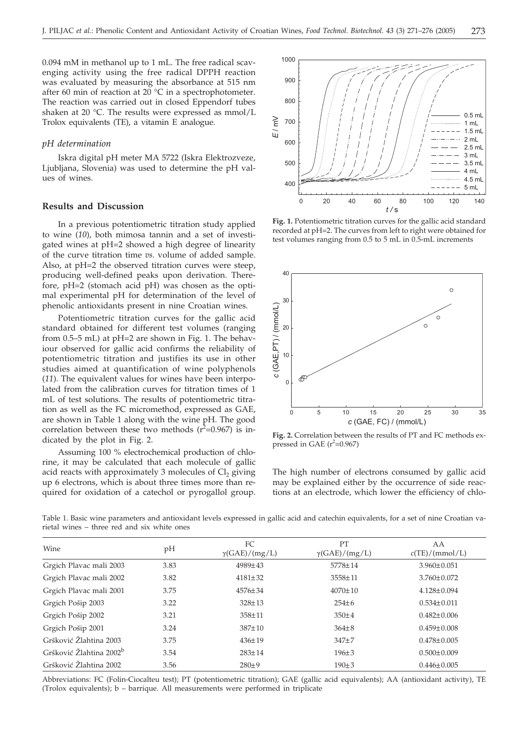0.094 mM in methanol up to 1 mL. The free radical scavenging activity using the free radical DPPH reaction was evaluated by measuring the absorbance at 515 nm after 60 min of reaction at 20 $\degree$ C in a spectrophotometer. The reaction was carried out in closed Eppendorf tubes shaken at 20 °C. The results were expressed as mmol/L Trolox equivalents (TE), a vitamin E analogue.

#### *pH determination*

Iskra digital pH meter MA 5722 (Iskra Elektrozveze, Ljubljana, Slovenia) was used to determine the pH values of wines.

# **Results and Discussion**

In a previous potentiometric titration study applied to wine (*10*), both mimosa tannin and a set of investigated wines at pH=2 showed a high degree of linearity of the curve titration time *vs*. volume of added sample. Also, at pH=2 the observed titration curves were steep, producing well-defined peaks upon derivation. Therefore, pH=2 (stomach acid pH) was chosen as the optimal experimental pH for determination of the level of phenolic antioxidants present in nine Croatian wines.

Potentiometric titration curves for the gallic acid standard obtained for different test volumes (ranging from 0.5–5 mL) at pH=2 are shown in Fig. 1. The behaviour observed for gallic acid confirms the reliability of potentiometric titration and justifies its use in other studies aimed at quantification of wine polyphenols (*11*). The equivalent values for wines have been interpolated from the calibration curves for titration times of 1 mL of test solutions. The results of potentiometric titration as well as the FC micromethod, expressed as GAE, are shown in Table 1 along with the wine pH. The good correlation between these two methods  $(r^2=0.967)$  is indicated by the plot in Fig. 2.

Assuming 100 % electrochemical production of chlorine, it may be calculated that each molecule of gallic acid reacts with approximately 3 molecules of  $Cl<sub>2</sub>$  giving up 6 electrons, which is about three times more than required for oxidation of a catechol or pyrogallol group.



**Fig. 1.** Potentiometric titration curves for the gallic acid standard recorded at pH=2. The curves from left to right were obtained for test volumes ranging from 0.5 to 5 mL in 0.5-mL increments



**Fig. 2.** Correlation between the results of PT and FC methods expressed in GAE  $(r^2=0.967)$ 

The high number of electrons consumed by gallic acid may be explained either by the occurrence of side reactions at an electrode, which lower the efficiency of chlo-

Table 1. Basic wine parameters and antioxidant levels expressed in gallic acid and catechin equivalents, for a set of nine Croatian varietal wines – three red and six white ones

| <b>Wine</b>                         | pH   | FC                   | <b>PT</b><br>$\gamma(GAE)/(mg/L)$ | AA<br>c(TE)/(mmol/L) |
|-------------------------------------|------|----------------------|-----------------------------------|----------------------|
|                                     |      | $\gamma(GAE)/(mg/L)$ |                                   |                      |
| Grgich Plavac mali 2003             | 3.83 | $4989 \pm 43$        | 5778±14                           | $3.960 \pm 0.051$    |
| Grgich Plavac mali 2002             | 3.82 | $4181 \pm 32$        | 3558±11                           | $3.760 \pm 0.072$    |
| Grgich Plavac mali 2001             | 3.75 | $4576 \pm 34$        | $4070 \pm 10$                     | $4.128 \pm 0.094$    |
| Grgich Pošip 2003                   | 3.22 | $328 \pm 13$         | $254 \pm 6$                       | $0.534 \pm 0.011$    |
| Grgich Pošip 2002                   | 3.21 | $358 \pm 11$         | $350 \pm 4$                       | $0.482 \pm 0.006$    |
| Grgich Pošip 2001                   | 3.24 | $387 \pm 10$         | $364\pm8$                         | $0.459 \pm 0.008$    |
| Gršković Žlahtina 2003              | 3.75 | $436 \pm 19$         | $347+7$                           | $0.478 \pm 0.005$    |
| Gršković Žlahtina 2002 <sup>b</sup> | 3.54 | $283 \pm 14$         | $196 \pm 3$                       | $0.500 \pm 0.009$    |
| Gršković Žlahtina 2002              | 3.56 | $280+9$              | $190 \pm 3$                       | $0.446 \pm 0.005$    |

Abbreviations: FC (Folin-Ciocalteu test); PT (potentiometric titration); GAE (gallic acid equivalents); AA (antioxidant activity), TE (Trolox equivalents); b – barrique. All measurements were performed in triplicate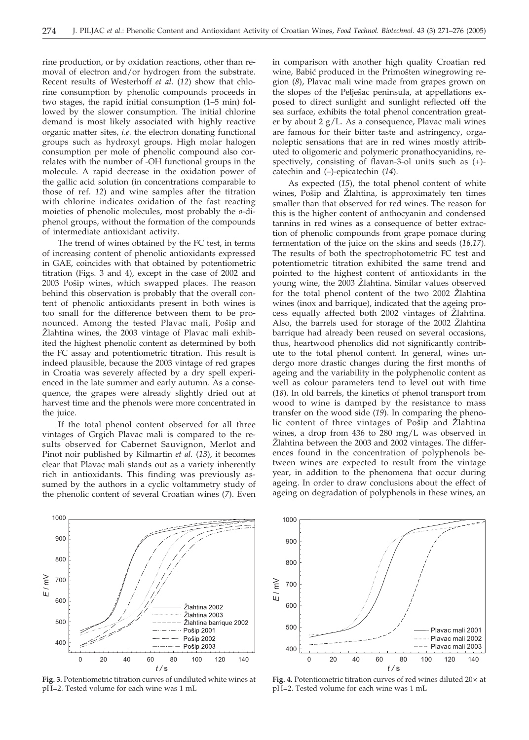rine production, or by oxidation reactions, other than removal of electron and/or hydrogen from the substrate. Recent results of Westerhoff *et al*. (*12*) show that chlorine consumption by phenolic compounds proceeds in two stages, the rapid initial consumption (1–5 min) followed by the slower consumption. The initial chlorine demand is most likely associated with highly reactive organic matter sites, *i.e.* the electron donating functional groups such as hydroxyl groups. High molar halogen consumption per mole of phenolic compound also correlates with the number of -OH functional groups in the molecule. A rapid decrease in the oxidation power of the gallic acid solution (in concentrations comparable to those of ref. *12*) and wine samples after the titration with chlorine indicates oxidation of the fast reacting moieties of phenolic molecules, most probably the *o*-diphenol groups, without the formation of the compounds of intermediate antioxidant activity.

The trend of wines obtained by the FC test, in terms of increasing content of phenolic antioxidants expressed in GAE, coincides with that obtained by potentiometric titration (Figs. 3 and 4), except in the case of 2002 and 2003 Pošip wines, which swapped places. The reason behind this observation is probably that the overall content of phenolic antioxidants present in both wines is too small for the difference between them to be pronounced. Among the tested Plavac mali, Pošip and Žlahtina wines, the 2003 vintage of Plavac mali exhibited the highest phenolic content as determined by both the FC assay and potentiometric titration. This result is indeed plausible, because the 2003 vintage of red grapes in Croatia was severely affected by a dry spell experienced in the late summer and early autumn. As a consequence, the grapes were already slightly dried out at harvest time and the phenols were more concentrated in the juice.

If the total phenol content observed for all three vintages of Grgich Plavac mali is compared to the results observed for Cabernet Sauvignon, Merlot and Pinot noir published by Kilmartin *et al.* (*13*), it becomes clear that Plavac mali stands out as a variety inherently rich in antioxidants. This finding was previously assumed by the authors in a cyclic voltammetry study of the phenolic content of several Croatian wines (*7*). Even

in comparison with another high quality Croatian red wine, Babić produced in the Primošten winegrowing region (*8*), Plavac mali wine made from grapes grown on the slopes of the Pelješac peninsula, at appellations exposed to direct sunlight and sunlight reflected off the sea surface, exhibits the total phenol concentration greater by about 2 g/L. As a consequence, Plavac mali wines are famous for their bitter taste and astringency, organoleptic sensations that are in red wines mostly attributed to oligomeric and polymeric pronathocyanidins, respectively, consisting of flavan-3-ol units such as (+) catechin and (–)-epicatechin (*14*).

As expected (*15*), the total phenol content of white wines, Pošip and Žlahtina, is approximately ten times smaller than that observed for red wines. The reason for this is the higher content of anthocyanin and condensed tannins in red wines as a consequence of better extraction of phenolic compounds from grape pomace during fermentation of the juice on the skins and seeds (*16,17*). The results of both the spectrophotometric FC test and potentiometric titration exhibited the same trend and pointed to the highest content of antioxidants in the young wine, the 2003 Žlahtina. Similar values observed for the total phenol content of the two 2002 Žlahtina wines (inox and barrique), indicated that the ageing process equally affected both 2002 vintages of Žlahtina. Also, the barrels used for storage of the 2002 Zlahtina barrique had already been reused on several occasions, thus, heartwood phenolics did not significantly contribute to the total phenol content. In general, wines undergo more drastic changes during the first months of ageing and the variability in the polyphenolic content as well as colour parameters tend to level out with time (*18*). In old barrels, the kinetics of phenol transport from wood to wine is damped by the resistance to mass transfer on the wood side (*19*). In comparing the phenolic content of three vintages of Pošip and Žlahtina wines, a drop from 436 to 280 mg/L was observed in Zlahtina between the 2003 and 2002 vintages. The differences found in the concentration of polyphenols between wines are expected to result from the vintage year, in addition to the phenomena that occur during ageing. In order to draw conclusions about the effect of ageing on degradation of polyphenols in these wines, an



**Fig. 3.** Potentiometric titration curves of undiluted white wines at pH=2. Tested volume for each wine was 1 mL



Fig. 4. Potentiometric titration curves of red wines diluted  $20 \times$  at pH=2. Tested volume for each wine was 1 mL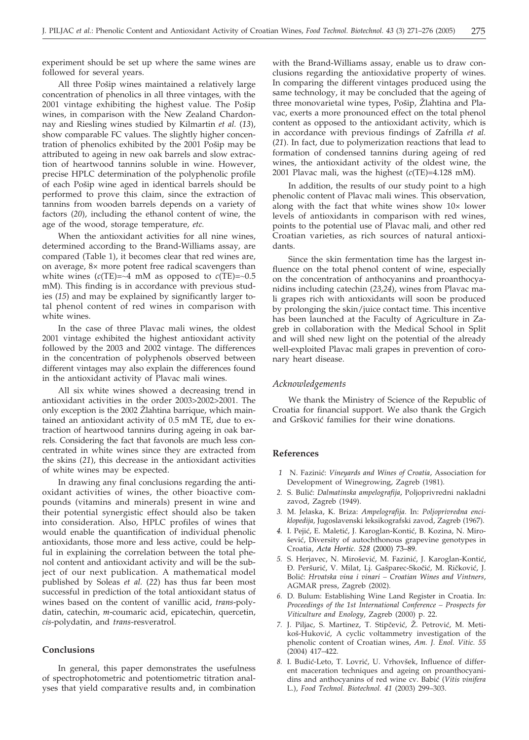experiment should be set up where the same wines are followed for several years.

All three Pošip wines maintained a relatively large concentration of phenolics in all three vintages, with the 2001 vintage exhibiting the highest value. The Pošip wines, in comparison with the New Zealand Chardonnay and Riesling wines studied by Kilmartin *et al.* (*13*), show comparable FC values. The slightly higher concentration of phenolics exhibited by the 2001 Pošip may be attributed to ageing in new oak barrels and slow extraction of heartwood tannins soluble in wine. However, precise HPLC determination of the polyphenolic profile of each Pošip wine aged in identical barrels should be performed to prove this claim, since the extraction of tannins from wooden barrels depends on a variety of factors (*20*), including the ethanol content of wine, the age of the wood, storage temperature, *etc.*

When the antioxidant activities for all nine wines, determined according to the Brand-Williams assay, are compared (Table 1), it becomes clear that red wines are, on average, 8× more potent free radical scavengers than white wines  $(c(TE)=24 \text{ mM as opposed to } c(TE)=0.5$ mM). This finding is in accordance with previous studies (*15*) and may be explained by significantly larger total phenol content of red wines in comparison with white wines.

In the case of three Plavac mali wines, the oldest 2001 vintage exhibited the highest antioxidant activity followed by the 2003 and 2002 vintage. The differences in the concentration of polyphenols observed between different vintages may also explain the differences found in the antioxidant activity of Plavac mali wines.

All six white wines showed a decreasing trend in antioxidant activities in the order 2003>2002>2001. The only exception is the 2002 Zlahtina barrique, which maintained an antioxidant activity of 0.5 mM TE, due to extraction of heartwood tannins during ageing in oak barrels. Considering the fact that favonols are much less concentrated in white wines since they are extracted from the skins (*21*), this decrease in the antioxidant activities of white wines may be expected.

In drawing any final conclusions regarding the antioxidant activities of wines, the other bioactive compounds (vitamins and minerals) present in wine and their potential synergistic effect should also be taken into consideration. Also, HPLC profiles of wines that would enable the quantification of individual phenolic antioxidants, those more and less active, could be helpful in explaining the correlation between the total phenol content and antioxidant activity and will be the subject of our next publication. A mathematical model published by Soleas *et al.* (*22*) has thus far been most successful in prediction of the total antioxidant status of wines based on the content of vanillic acid, *trans*-polydatin, catechin, *m*-coumaric acid, epicatechin, quercetin, *cis*-polydatin, and *trans*-resveratrol.

#### **Conclusions**

In general, this paper demonstrates the usefulness of spectrophotometric and potentiometric titration analyses that yield comparative results and, in combination

with the Brand-Williams assay, enable us to draw conclusions regarding the antioxidative property of wines. In comparing the different vintages produced using the same technology, it may be concluded that the ageing of three monovarietal wine types, Pošip, Žlahtina and Plavac, exerts a more pronounced effect on the total phenol content as opposed to the antioxidant activity, which is in accordance with previous findings of Zafrilla *et al.* (*21*). In fact, due to polymerization reactions that lead to formation of condensed tannins during ageing of red wines, the antioxidant activity of the oldest wine, the 2001 Plavac mali, was the highest (*c*(TE)=4.128 mM).

In addition, the results of our study point to a high phenolic content of Plavac mali wines. This observation, along with the fact that white wines show 10× lower levels of antioxidants in comparison with red wines, points to the potential use of Plavac mali, and other red Croatian varieties, as rich sources of natural antioxidants.

Since the skin fermentation time has the largest influence on the total phenol content of wine, especially on the concentration of anthocyanins and proanthocyanidins including catechin (*23,24*), wines from Plavac mali grapes rich with antioxidants will soon be produced by prolonging the skin/juice contact time. This incentive has been launched at the Faculty of Agriculture in Zagreb in collaboration with the Medical School in Split and will shed new light on the potential of the already well-exploited Plavac mali grapes in prevention of coronary heart disease.

#### *Acknowledgements*

We thank the Ministry of Science of the Republic of Croatia for financial support. We also thank the Grgich and Gršković families for their wine donations.

# **References**

- 1 N. Fazinić: *Vineyards and Wines of Croatia*, Association for Development of Winegrowing, Zagreb (1981).
- 2. S. Bulić: *Dalmatinska ampelografija*, Poljoprivredni nakladni zavod, Zagreb (1949).
- *3.* M. Jelaska, K. Briza: *Ampelografija.* In: *Poljoprivredna enciklopedija*, Jugoslavenski leksikografski zavod, Zagreb (1967).
- 4. I. Pejić, E. Maletić, J. Karoglan-Kontić, B. Kozina, N. Mirošević, Diversity of autochthonous grapevine genotypes in Croatia, *Acta Hortic. 528* (2000) 73–89.
- 5. S. Herjavec, N. Mirošević, M. Fazinić, J. Karoglan-Kontić, Đ. Peršurić, V. Milat, Lj. Gašparec-Skočić, M. Ričković, J. Boli}: *Hrvatska vina i vinari – Croatian Wines and Vintners*, AGMAR press, Zagreb (2002).
- *6.* D. Bulum: Establishing Wine Land Register in Croatia. In: *Proceedings of the 1st International Conference – Prospects for Viticulture and Enology*, Zagreb (2000) p. 22.
- 7. J. Piljac, S. Martinez, T. Stipčević, Ž. Petrović, M. Metikoš-Huković, A cyclic voltammetry investigation of the phenolic content of Croatian wines, *Am. J. Enol. Vitic. 55* (2004) 417–422.
- 8. I. Budić-Leto, T. Lovrić, U. Vrhovšek, Influence of different maceration techniques and ageing on proanthocyanidins and anthocyanins of red wine cv. Babić (Vitis vinifera L.), *Food Technol. Biotechnol. 41* (2003) 299–303.